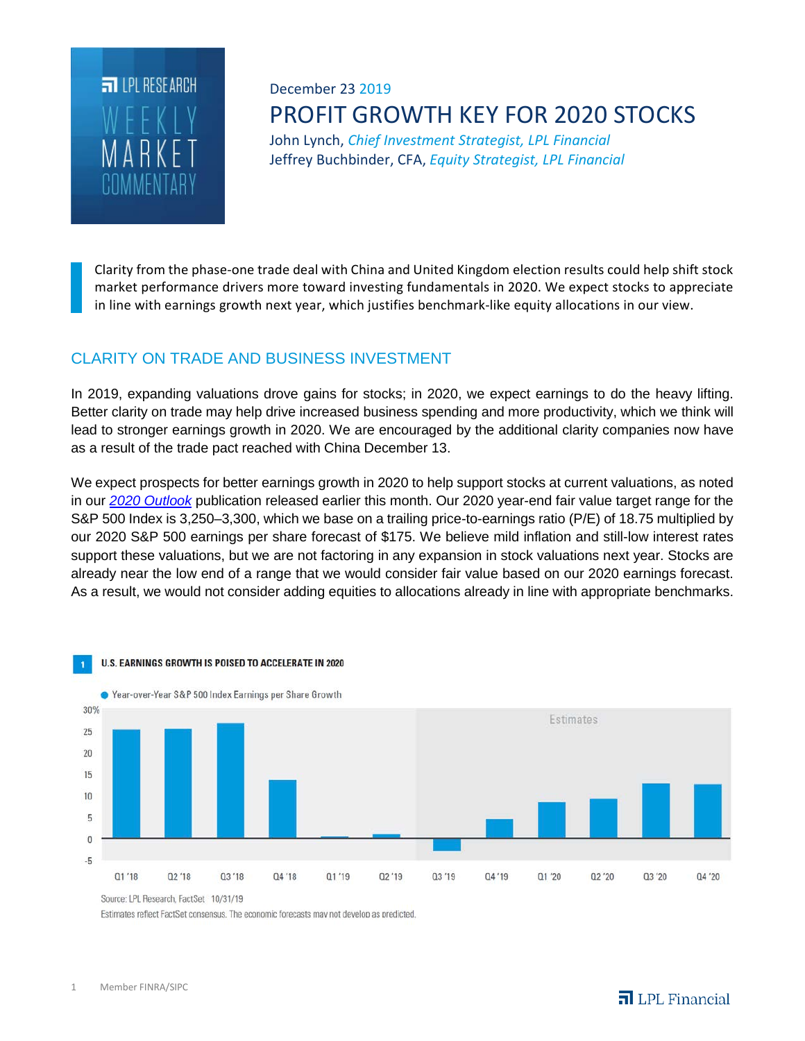

# December 23 2019 PROFIT GROWTH KEY FOR 2020 STOCKS

John Lynch, *Chief Investment Strategist, LPL Financial* Jeffrey Buchbinder, CFA, *Equity Strategist, LPL Financial*

Clarity from the phase-one trade deal with China and United Kingdom election results could help shift stock market performance drivers more toward investing fundamentals in 2020. We expect stocks to appreciate in line with earnings growth next year, which justifies benchmark-like equity allocations in our view.

# CLARITY ON TRADE AND BUSINESS INVESTMENT

In 2019, expanding valuations drove gains for stocks; in 2020, we expect earnings to do the heavy lifting. Better clarity on trade may help drive increased business spending and more productivity, which we think will lead to stronger earnings growth in 2020. We are encouraged by the additional clarity companies now have as a result of the trade pact reached with China December 13.

We expect prospects for better earnings growth in 2020 to help support stocks at current valuations, as noted in our *2020 Outlook* publication released earlier this month. Our 2020 year-end fair value target range for the S&P 500 Index is 3,250–3,300, which we base on a trailing price-to-earnings ratio (P/E) of 18.75 multiplied by our 2020 S&P 500 earnings per share forecast of \$175. We believe mild inflation and still-low interest rates support these valuations, but we are not factoring in any expansion in stock valuations next year. Stocks are already near the low end of a range that we would consider fair value based on our 2020 earnings forecast. As a result, we would not consider adding equities to allocations already in line with appropriate benchmarks.



Source: LPL Research, FactSet 10/31/19

Estimates reflect FactSet consensus. The economic forecasts may not develop as predicted.

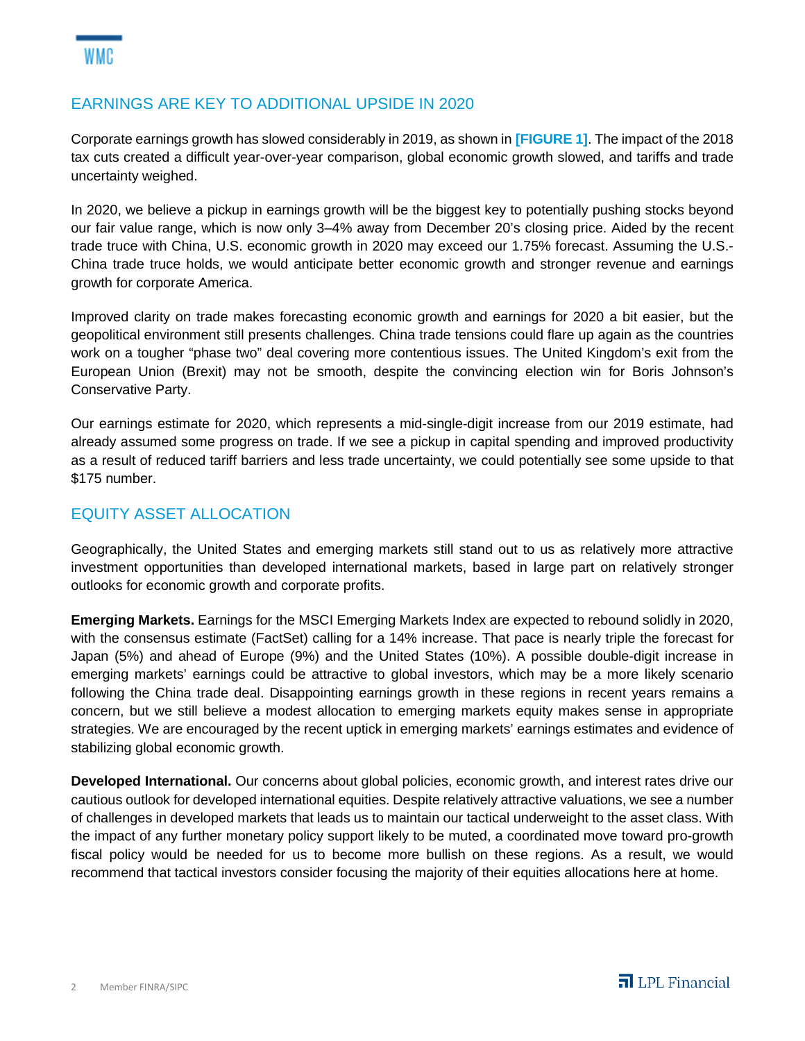### EARNINGS ARE KEY TO ADDITIONAL UPSIDE IN 2020

Corporate earnings growth has slowed considerably in 2019, as shown in **[FIGURE 1]**. The impact of the 2018 tax cuts created a difficult year-over-year comparison, global economic growth slowed, and tariffs and trade uncertainty weighed.

In 2020, we believe a pickup in earnings growth will be the biggest key to potentially pushing stocks beyond our fair value range, which is now only 3–4% away from December 20's closing price. Aided by the recent trade truce with China, U.S. economic growth in 2020 may exceed our 1.75% forecast. Assuming the U.S.- China trade truce holds, we would anticipate better economic growth and stronger revenue and earnings growth for corporate America.

Improved clarity on trade makes forecasting economic growth and earnings for 2020 a bit easier, but the geopolitical environment still presents challenges. China trade tensions could flare up again as the countries work on a tougher "phase two" deal covering more contentious issues. The United Kingdom's exit from the European Union (Brexit) may not be smooth, despite the convincing election win for Boris Johnson's Conservative Party.

Our earnings estimate for 2020, which represents a mid-single-digit increase from our 2019 estimate, had already assumed some progress on trade. If we see a pickup in capital spending and improved productivity as a result of reduced tariff barriers and less trade uncertainty, we could potentially see some upside to that \$175 number.

### EQUITY ASSET ALLOCATION

Geographically, the United States and emerging markets still stand out to us as relatively more attractive investment opportunities than developed international markets, based in large part on relatively stronger outlooks for economic growth and corporate profits.

**Emerging Markets.** Earnings for the MSCI Emerging Markets Index are expected to rebound solidly in 2020, with the consensus estimate (FactSet) calling for a 14% increase. That pace is nearly triple the forecast for Japan (5%) and ahead of Europe (9%) and the United States (10%). A possible double-digit increase in emerging markets' earnings could be attractive to global investors, which may be a more likely scenario following the China trade deal. Disappointing earnings growth in these regions in recent years remains a concern, but we still believe a modest allocation to emerging markets equity makes sense in appropriate strategies. We are encouraged by the recent uptick in emerging markets' earnings estimates and evidence of stabilizing global economic growth.

**Developed International.** Our concerns about global policies, economic growth, and interest rates drive our cautious outlook for developed international equities. Despite relatively attractive valuations, we see a number of challenges in developed markets that leads us to maintain our tactical underweight to the asset class. With the impact of any further monetary policy support likely to be muted, a coordinated move toward pro-growth fiscal policy would be needed for us to become more bullish on these regions. As a result, we would recommend that tactical investors consider focusing the majority of their equities allocations here at home.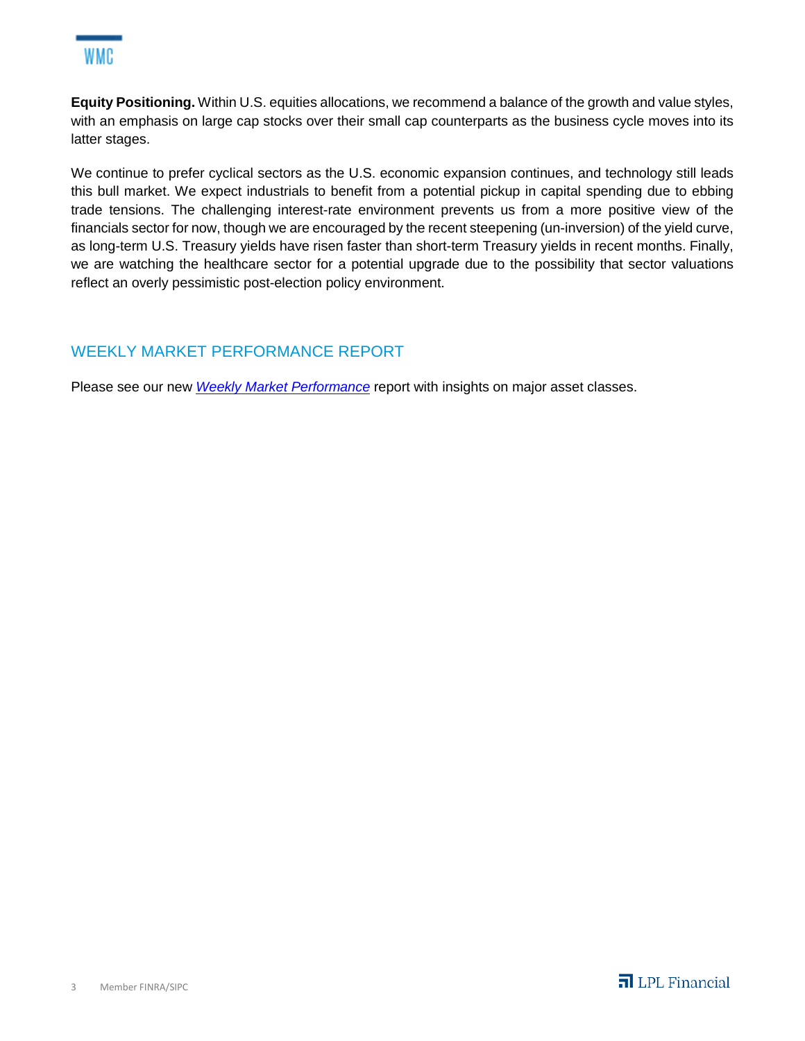

**Equity Positioning.** Within U.S. equities allocations, we recommend a balance of the growth and value styles, with an emphasis on large cap stocks over their small cap counterparts as the business cycle moves into its latter stages.

We continue to prefer cyclical sectors as the U.S. economic expansion continues, and technology still leads this bull market. We expect industrials to benefit from a potential pickup in capital spending due to ebbing trade tensions. The challenging interest-rate environment prevents us from a more positive view of the financials sector for now, though we are encouraged by the recent steepening (un-inversion) of the yield curve, as long-term U.S. Treasury yields have risen faster than short-term Treasury yields in recent months. Finally, we are watching the healthcare sector for a potential upgrade due to the possibility that sector valuations reflect an overly pessimistic post-election policy environment.

## WEEKLY MARKET PERFORMANCE REPORT

Please see our new *Weekly Market Performance* report with insights on major asset classes.